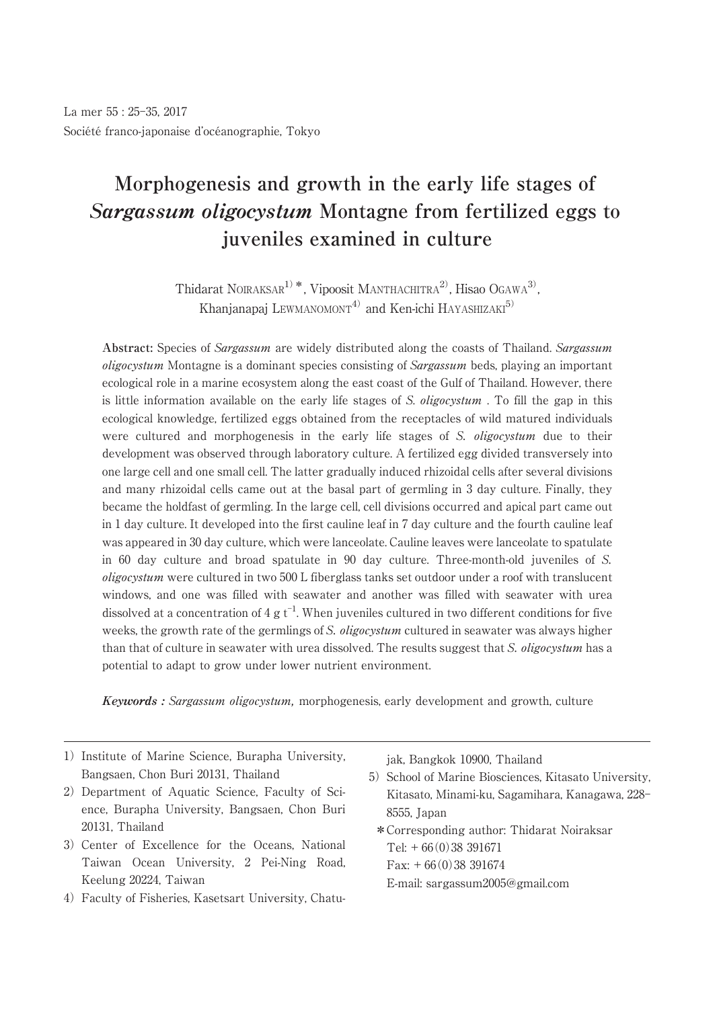# **Morphogenesis and growth in the early life stages of Sargassum oligocystum Montagne from fertilized eggs to juveniles examined in culture**

Thidarat NOIRAKSAR<sup>1)</sup>\*, Vipoosit MANTHACHITRA<sup>2</sup>, Hisao OGAWA<sup>3)</sup> , Khanjanapaj LEWMANOMONT<sup>4)</sup> and Ken-ichi HAYASHIZAKI<sup>5)</sup>

Abstract: Species of Sargassum are widely distributed along the coasts of Thailand. Sargassum oligocystum Montagne is a dominant species consisting of Sargassum beds, playing an important ecological role in a marine ecosystem along the east coast of the Gulf of Thailand. However, there is little information available on the early life stages of S. *oligocystum*. To fill the gap in this ecological knowledge, fertilized eggs obtained from the receptacles of wild matured individuals were cultured and morphogenesis in the early life stages of S. *oligocystum* due to their development was observed through laboratory culture. A fertilized egg divided transversely into one large cell and one small cell. The latter gradually induced rhizoidal cells after several divisions and many rhizoidal cells came out at the basal part of germling in 3 day culture. Finally, they became the holdfast of germling. In the large cell, cell divisions occurred and apical part came out in 1 day culture. It developed into the first cauline leaf in 7 day culture and the fourth cauline leaf was appeared in 30 day culture, which were lanceolate. Cauline leaves were lanceolate to spatulate in 60 day culture and broad spatulate in 90 day culture. Three-month-old juveniles of S. oligocystum were cultured in two 500 L fiberglass tanks set outdoor under a roof with translucent windows, and one was filled with seawater and another was filled with seawater with urea dissolved at a concentration of 4 g  $t^{-1}$ . When juveniles cultured in two different conditions for five weeks, the growth rate of the germlings of S. *oligocystum* cultured in seawater was always higher than that of culture in seawater with urea dissolved. The results suggest that S. *oligocystum* has a potential to adapt to grow under lower nutrient environment.

**Keywords :** Sargassum oligocystum, morphogenesis, early development and growth, culture

- 1) Institute of Marine Science, Burapha University, Bangsaen, Chon Buri 20131, Thailand
- 2) Department of Aquatic Science, Faculty of Science, Burapha University, Bangsaen, Chon Buri 20131, Thailand
- 3) Center of Excellence for the Oceans, National Taiwan Ocean University, 2 Pei-Ning Road, Keelung 20224, Taiwan
- 4)Faculty of Fisheries, Kasetsart University, Chatu-

jak, Bangkok 10900, Thailand

- 5) School of Marine Biosciences, Kitasato University, Kitasato, Minami-ku, Sagamihara, Kanagawa, 228-8555, Japan
- \*Corresponding author: Thidarat Noiraksar  $Tel: + 66(0)38391671$  $Fax: +66(0)38391674$ 
	- E-mail: sargassum2005@gmail.com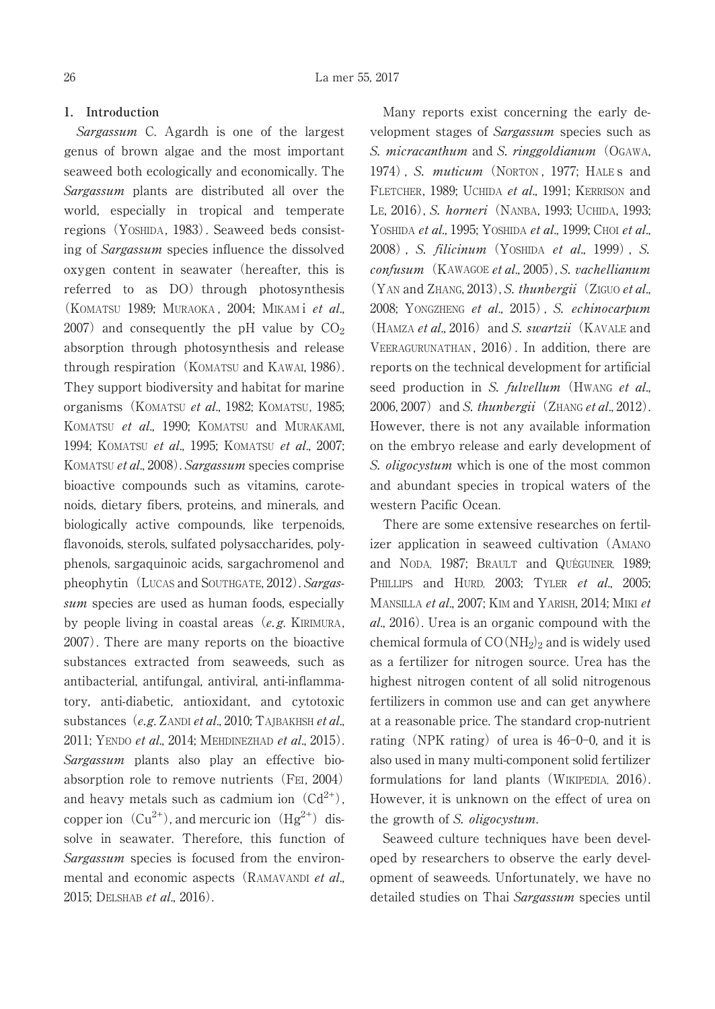# **1. Introduction**

Sargassum C. Agardh is one of the largest genus of brown algae and the most important seaweed both ecologically and economically. The Sargassum plants are distributed all over the world, especially in tropical and temperate regions (YOSHIDA, 1983). Seaweed beds consisting of Sargassum species influence the dissolved oxygen content in seawater (hereafter, this is referred to as DO) through photosynthesis (KOMATSU 1989; MURAOKA , 2004; MIKAM i et al., 2007) and consequently the pH value by  $CO<sub>2</sub>$ absorption through photosynthesis and release through respiration (KOMATSU and KAWAI, 1986). They support biodiversity and habitat for marine organisms(KOMATSU et al., 1982; KOMATSU, 1985; KOMATSU et al., 1990; KOMATSU and MURAKAMI, 1994; KOMATSU et al., 1995; KOMATSU et al., 2007; KOMATSU et al., 2008). Sargassum species comprise bioactive compounds such as vitamins, carotenoids, dietary fibers, proteins, and minerals, and biologically active compounds, like terpenoids, flavonoids, sterols, sulfated polysaccharides, polyphenols, sargaquinoic acids, sargachromenol and pheophytin (LUCAS and SOUTHGATE, 2012). Sargassum species are used as human foods, especially by people living in coastal areas  $(e, g, KIRIMURA,$ 2007). There are many reports on the bioactive substances extracted from seaweeds, such as antibacterial, antifungal, antiviral, anti-inflammatory, anti-diabetic, antioxidant, and cytotoxic substances (e.g. ZANDI et al., 2010; TAJBAKHSH et al., 2011; YENDO et al., 2014; MEHDINEZHAD et al., 2015). Sargassum plants also play an effective bioabsorption role to remove nutrients (FEI, 2004) and heavy metals such as cadmium ion  $(Cd^{2+})$ , copper ion  $(Cu^{2+})$ , and mercuric ion  $(Hg^{2+})$  dissolve in seawater. Therefore, this function of Sargassum species is focused from the environmental and economic aspects (RAMAVANDI et al., 2015; DELSHAB et al., 2016).

Many reports exist concerning the early development stages of Sargassum species such as S. *micracanthum* and S. *ringgoldianum* (OGAWA, 1974), S. *muticum* (NORTON, 1977; HALE s and FLETCHER, 1989; UCHIDA et al., 1991; KERRISON and LE, 2016), S. horneri (NANBA, 1993; UCHIDA, 1993; YOSHIDA et al., 1995; YOSHIDA et al., 1999; CHOI et al., 2008) , S. filicinum(YOSHIDA et al., 1999) , S. confusum (KAWAGOE et al., 2005), S. vachellianum  $(Y_{AN}$  and ZHANG, 2013), S. thunbergii (ZIGUO et al., 2008; YONGZHENG et al., 2015) , S. echinocarpum  $(HAMZA et al., 2016)$  and S. swartzii (KAVALE and VEERAGURUNATHAN, 2016). In addition, there are reports on the technical development for artificial seed production in S. fulvellum (HWANG et al., 2006, 2007) and S. thunbergii (ZHANG et al., 2012). However, there is not any available information on the embryo release and early development of S. *oligocystum* which is one of the most common and abundant species in tropical waters of the western Pacific Ocean.

There are some extensive researches on fertilizer application in seaweed cultivation(AMANO and NODA, 1987; BRAULT and QUÉGUINER, 1989; PHILLIPS and HURD, 2003; TYLER et al., 2005; MANSILLA et al., 2007; KIM and YARISH, 2014; MIKI et al., 2016). Urea is an organic compound with the chemical formula of  $CO(NH_2)_2$  and is widely used as a fertilizer for nitrogen source. Urea has the highest nitrogen content of all solid nitrogenous fertilizers in common use and can get anywhere at a reasonable price. The standard crop-nutrient rating (NPK rating) of urea is  $46-0-0$ , and it is also used in many multi-component solid fertilizer formulations for land plants(WIKIPEDIA, 2016). However, it is unknown on the effect of urea on the growth of S. oligocystum.

Seaweed culture techniques have been developed by researchers to observe the early development of seaweeds. Unfortunately, we have no detailed studies on Thai Sargassum species until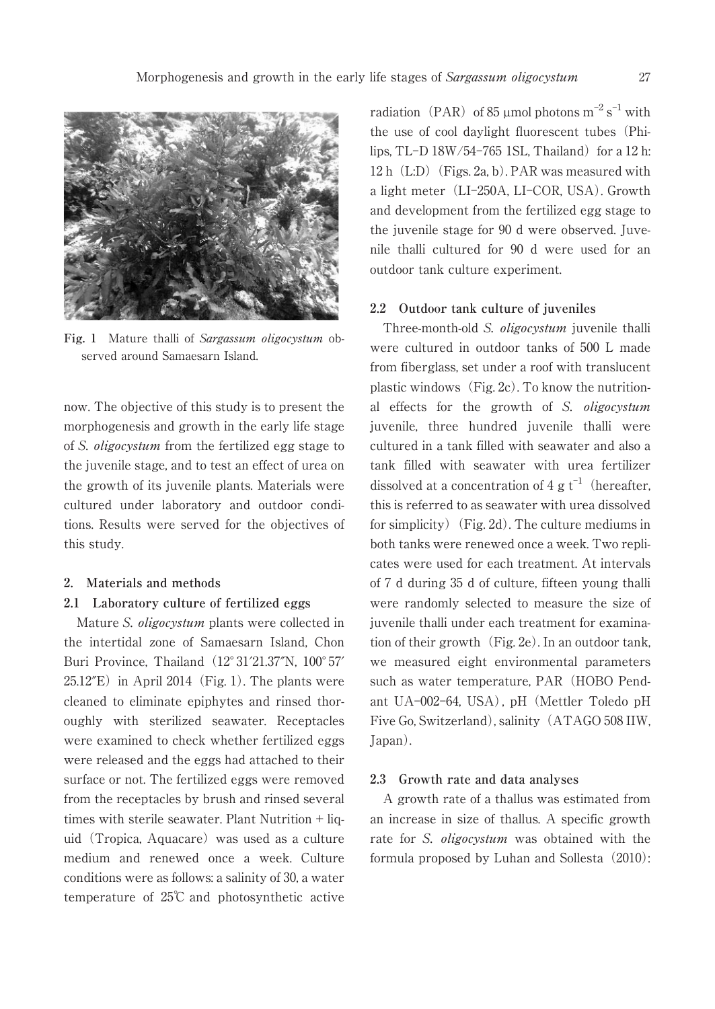

**Fig. 1** Mature thalli of Sargassum oligocystum observed around Samaesarn Island.

now. The objective of this study is to present the morphogenesis and growth in the early life stage of S. oligocystum from the fertilized egg stage to the juvenile stage, and to test an effect of urea on the growth of its juvenile plants. Materials were cultured under laboratory and outdoor conditions. Results were served for the objectives of this study.

### **2. Materials and methods**

### **2.1 Laboratory culture of fertilized eggs**

Mature S. oligocystum plants were collected in the intertidal zone of Samaesarn Island, Chon Buri Province, Thailand (12° 31'21.37"N, 100° 57'  $25.12<sup>′</sup>E$ ) in April 2014 (Fig. 1). The plants were cleaned to eliminate epiphytes and rinsed thoroughly with sterilized seawater. Receptacles were examined to check whether fertilized eggs were released and the eggs had attached to their surface or not. The fertilized eggs were removed from the receptacles by brush and rinsed several times with sterile seawater. Plant Nutrition + liquid (Tropica, Aquacare) was used as a culture medium and renewed once a week. Culture conditions were as follows: a salinity of 30, a water temperature of 25℃ and photosynthetic active

radiation (PAR) of 85 µmol photons  $m^{-2}$  s<sup>-1</sup> with the use of cool daylight fluorescent tubes(Philips, TL $-D$  18W/54 $-765$  1SL, Thailand) for a 12 h:  $12 h$  (L:D) (Figs. 2a, b). PAR was measured with a light meter (LI-250A, LI-COR, USA). Growth and development from the fertilized egg stage to the juvenile stage for 90 d were observed. Juvenile thalli cultured for 90 d were used for an outdoor tank culture experiment.

## **2.2 Outdoor tank culture of juveniles**

Three-month-old S. *oligocystum* juvenile thalli were cultured in outdoor tanks of 500 L made from fiberglass, set under a roof with translucent plastic windows  $(Fig. 2c)$ . To know the nutritional effects for the growth of S. oligocystum juvenile, three hundred juvenile thalli were cultured in a tank filled with seawater and also a tank filled with seawater with urea fertilizer dissolved at a concentration of 4 g  $t^{-1}$  (hereafter, this is referred to as seawater with urea dissolved for simplicity) (Fig. 2d). The culture mediums in both tanks were renewed once a week. Two replicates were used for each treatment. At intervals of 7 d during 35 d of culture, fifteen young thalli were randomly selected to measure the size of juvenile thalli under each treatment for examination of their growth  $(Fig, 2e)$ . In an outdoor tank, we measured eight environmental parameters such as water temperature, PAR (HOBO Pendant UA-002-64, USA), pH (Mettler Toledo pH Five Go, Switzerland), salinity(ATAGO 508 IIW, Japan).

#### **2.3 Growth rate and data analyses**

A growth rate of a thallus was estimated from an increase in size of thallus. A specific growth rate for S. *oligocystum* was obtained with the formula proposed by Luhan and Sollesta (2010):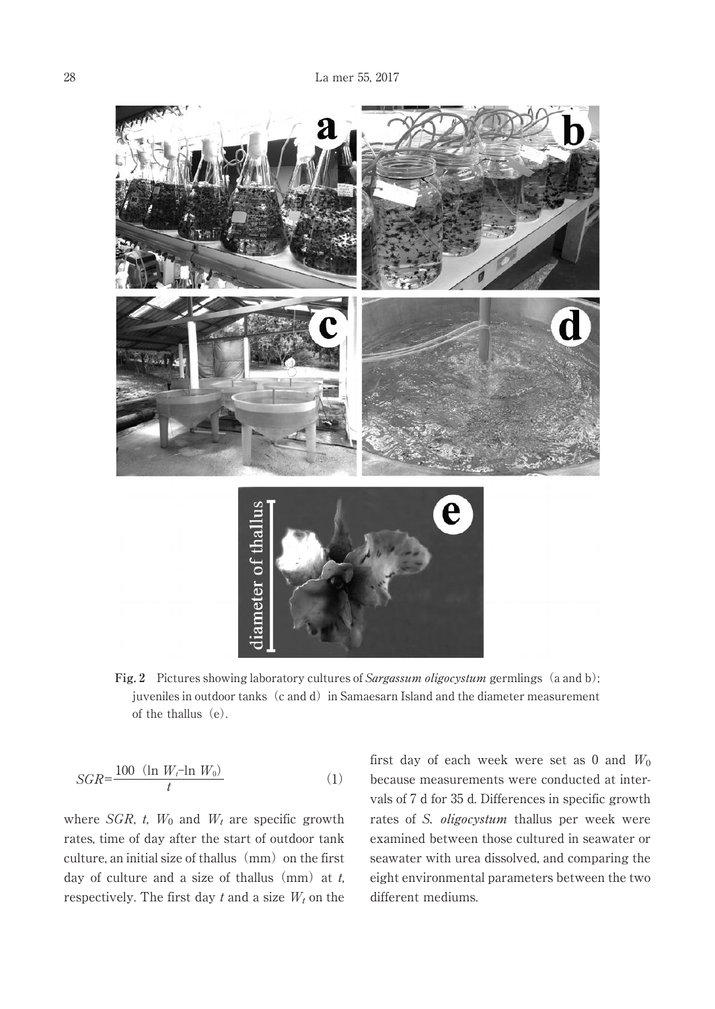

Fig. 2 Pictures showing laboratory cultures of *Sargassum oligocystum* germlings (a and b); juveniles in outdoor tanks (c and d) in Samaesarn Island and the diameter measurement of the thallus  $(e)$ .

$$
SGR = \frac{100 \quad (\ln W_t - \ln W_0)}{t} \tag{1}
$$

where  $SGR$ , t,  $W_0$  and  $W_t$  are specific growth rates, time of day after the start of outdoor tank culture, an initial size of thallus  $(mm)$  on the first day of culture and a size of thallus (mm) at  $t$ , respectively. The first day  $t$  and a size  $W_t$  on the first day of each week were set as 0 and  $W_0$ because measurements were conducted at intervals of 7 d for 35 d. Differences in specific growth rates of S. oligocystum thallus per week were examined between those cultured in seawater or seawater with urea dissolved, and comparing the eight environmental parameters between the two different mediums.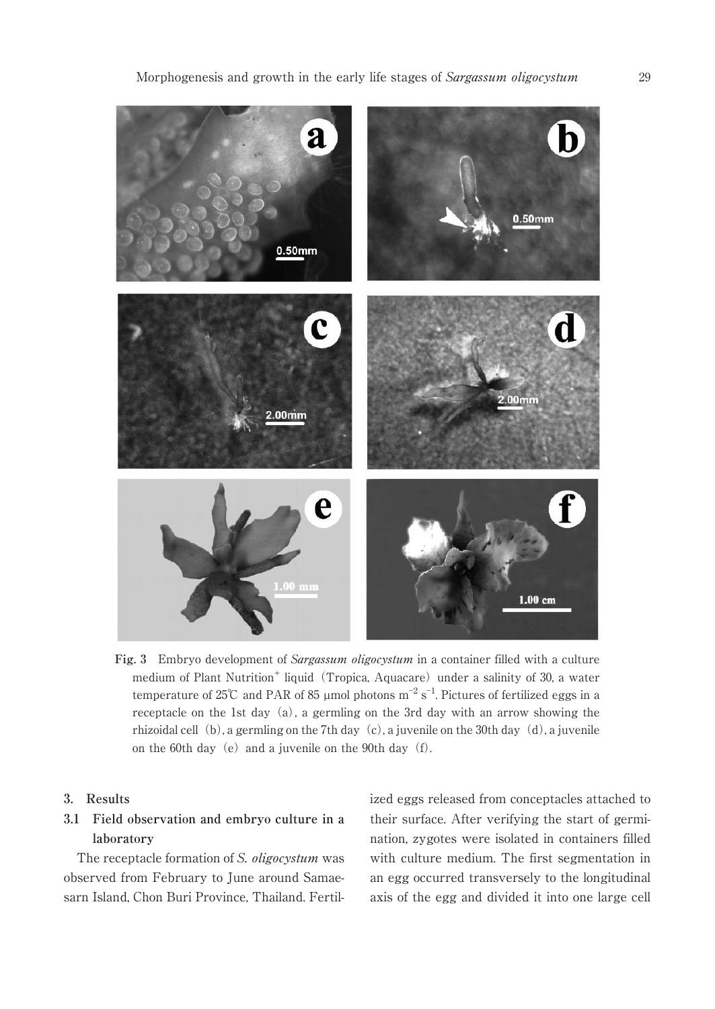

**Fig. 3** Embryo development of Sargassum oligocystum in a container filled with a culture medium of Plant Nutrition<sup>+</sup> liquid (Tropica, Aquacare) under a salinity of 30, a water temperature of 25℃ and PAR of 85 µmol photons  $m^{-2}$  s<sup>-1</sup>. Pictures of fertilized eggs in a receptacle on the 1st day  $(a)$ , a germling on the 3rd day with an arrow showing the rhizoidal cell (b), a germling on the 7th day (c), a juvenile on the 30th day (d), a juvenile on the 60th day (e) and a juvenile on the 90th day  $(f)$ .

# **3. Results**

# **3.1 Field observation and embryo culture in a laboratory**

The receptacle formation of S. oligocystum was observed from February to June around Samaesarn Island, Chon Buri Province, Thailand. Fertilized eggs released from conceptacles attached to their surface. After verifying the start of germination, zygotes were isolated in containers filled with culture medium. The first segmentation in an egg occurred transversely to the longitudinal axis of the egg and divided it into one large cell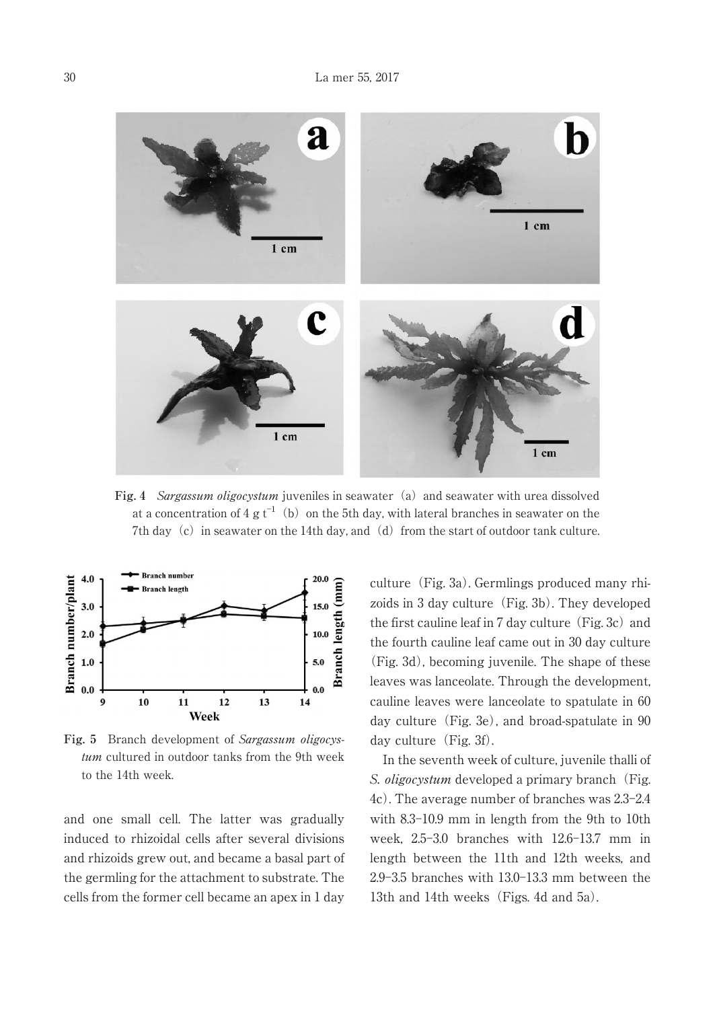

Fig. 4 Sargassum oligocystum juveniles in seawater (a) and seawater with urea dissolved at a concentration of 4 g t $^{-1}\,$  (b) on the 5th day, with lateral branches in seawater on the 7th day (c) in seawater on the 14th day, and (d) from the start of outdoor tank culture.



**Fig. 5** Branch development of Sargassum oligocystum cultured in outdoor tanks from the 9th week to the 14th week.

and one small cell. The latter was gradually induced to rhizoidal cells after several divisions and rhizoids grew out, and became a basal part of the germling for the attachment to substrate. The cells from the former cell became an apex in 1 day culture (Fig. 3a). Germlings produced many rhizoids in 3 day culture (Fig. 3b). They developed the first cauline leaf in 7 day culture (Fig. 3c) and the fourth cauline leaf came out in 30 day culture (Fig. 3d), becoming juvenile. The shape of these leaves was lanceolate. Through the development, cauline leaves were lanceolate to spatulate in 60 day culture (Fig. 3e), and broad-spatulate in  $90$ day culture  $(Fig. 3f)$ .

In the seventh week of culture, juvenile thalli of S. *oligocystum* developed a primary branch (Fig.  $4c$ ). The average number of branches was  $2.3-2.4$ with  $8.3-10.9$  mm in length from the 9th to 10th week,  $2.5-3.0$  branches with  $12.6-13.7$  mm in length between the 11th and 12th weeks, and  $2.9 - 3.5$  branches with  $13.0 - 13.3$  mm between the 13th and 14th weeks (Figs. 4d and 5a).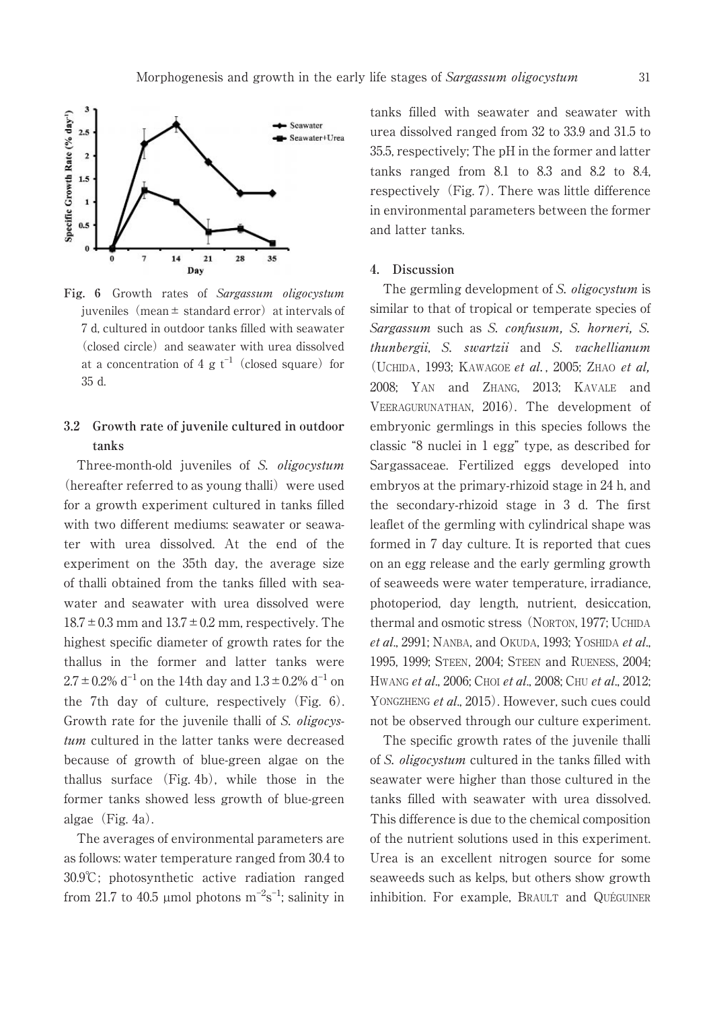

**Fig. 6** Growth rates of Sargassum oligocystum juveniles (mean  $\pm$  standard error) at intervals of 7 d, cultured in outdoor tanks filled with seawater (closed circle) and seawater with urea dissolved at a concentration of 4 g  $t^{-1}$  (closed square) for 35 d.

# **3.2 Growth rate of juvenile cultured in outdoor tanks**

Three-month-old juveniles of S. oligocystum  $(hereafter referred to as young thalli) were used$ for a growth experiment cultured in tanks filled with two different mediums: seawater or seawater with urea dissolved. At the end of the experiment on the 35th day, the average size of thalli obtained from the tanks filled with seawater and seawater with urea dissolved were  $18.7 \pm 0.3$  mm and  $13.7 \pm 0.2$  mm, respectively. The highest specific diameter of growth rates for the thallus in the former and latter tanks were  $2.7 \pm 0.2\%$  d<sup>-1</sup> on the 14th day and  $1.3 \pm 0.2\%$  d<sup>-1</sup> on the 7th day of culture, respectively (Fig. 6). Growth rate for the juvenile thalli of S. *oligocys*tum cultured in the latter tanks were decreased because of growth of blue-green algae on the thallus surface (Fig. 4b), while those in the former tanks showed less growth of blue-green algae  $(Fig. 4a)$ .

The averages of environmental parameters are as follows: water temperature ranged from 30.4 to 30.9℃; photosynthetic active radiation ranged from 21.7 to 40.5 µmol photons  $m^{-2}s^{-1}$ ; salinity in

tanks filled with seawater and seawater with urea dissolved ranged from 32 to 33.9 and 31.5 to 35.5, respectively; The pH in the former and latter tanks ranged from 8.1 to 8.3 and 8.2 to 8.4, respectively  $(Fig, 7)$ . There was little difference in environmental parameters between the former and latter tanks.

# **4. Discussion**

The germling development of S. *oligocystum* is similar to that of tropical or temperate species of Sargassum such as S. confusum, S. horneri, S. thunbergii, S. swartzii and S. vachellianum (UCHIDA, 1993; KAWAGOE et al., 2005; ZHAO et al. 2008; YAN and ZHANG, 2013; KAVALE and VEERAGURUNATHAN, 2016). The development of embryonic germlings in this species follows the classic "8 nuclei in 1 egg" type, as described for Sargassaceae. Fertilized eggs developed into embryos at the primary-rhizoid stage in 24 h, and the secondary-rhizoid stage in 3 d. The first leaflet of the germling with cylindrical shape was formed in 7 day culture. It is reported that cues on an egg release and the early germling growth of seaweeds were water temperature, irradiance, photoperiod, day length, nutrient, desiccation, thermal and osmotic stress(NORTON, 1977; UCHIDA et al., 2991; NANBA, and OKUDA, 1993; YOSHIDA et al., 1995, 1999; STEEN, 2004; STEEN and RUENESS, 2004; HWANG et al., 2006; CHOI et al., 2008; CHU et al., 2012; YONGZHENG et al., 2015). However, such cues could not be observed through our culture experiment.

The specific growth rates of the juvenile thalli of S. oligocystum cultured in the tanks filled with seawater were higher than those cultured in the tanks filled with seawater with urea dissolved. This difference is due to the chemical composition of the nutrient solutions used in this experiment. Urea is an excellent nitrogen source for some seaweeds such as kelps, but others show growth inhibition. For example, BRAULT and QUÉGUINER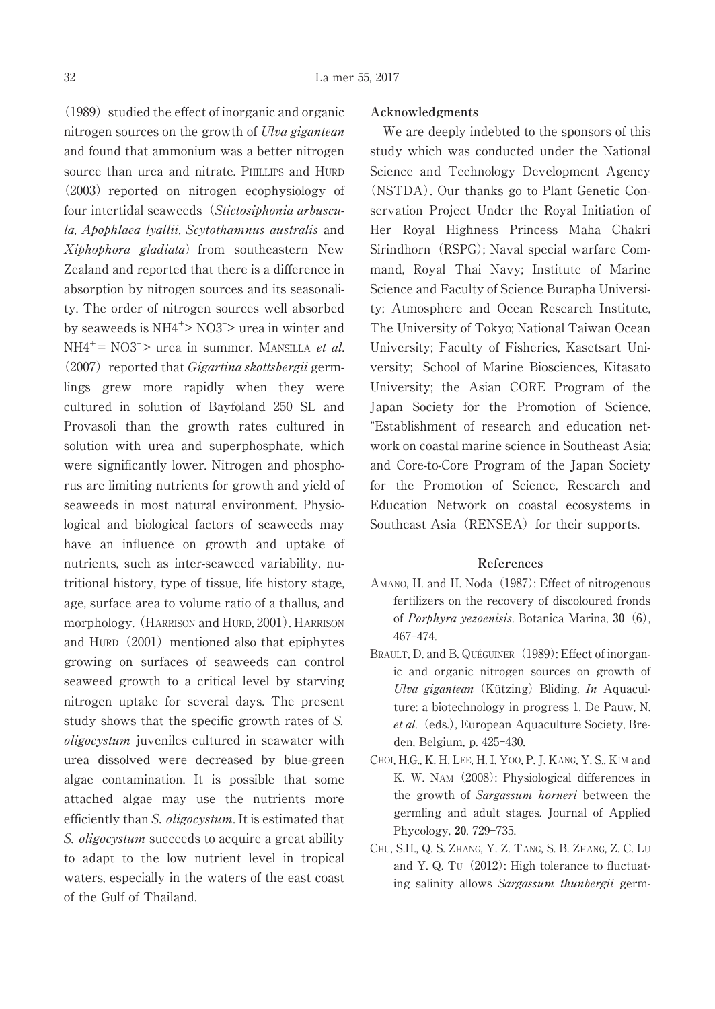$(1989)$  studied the effect of inorganic and organic nitrogen sources on the growth of Ulva gigantean and found that ammonium was a better nitrogen source than urea and nitrate. PHILLIPS and HURD  $(2003)$  reported on nitrogen ecophysiology of four intertidal seaweeds (Stictosiphonia arbuscula, Apophlaea lyallii, Scytothamnus australis and Xiphophora gladiata) from southeastern New Zealand and reported that there is a difference in absorption by nitrogen sources and its seasonality. The order of nitrogen sources well absorbed by seaweeds is  $NH4^+$ > NO3<sup>-</sup>> urea in winter and  $NH4^+=$  NO3<sup>-</sup>> urea in summer. MANSILLA *et al.*  $(2007)$  reported that *Gigartina skottsbergii* germlings grew more rapidly when they were cultured in solution of Bayfoland 250 SL and Provasoli than the growth rates cultured in solution with urea and superphosphate, which were significantly lower. Nitrogen and phosphorus are limiting nutrients for growth and yield of seaweeds in most natural environment. Physiological and biological factors of seaweeds may have an influence on growth and uptake of nutrients, such as inter-seaweed variability, nutritional history, type of tissue, life history stage, age, surface area to volume ratio of a thallus, and morphology.(HARRISON and HURD, 2001). HARRISON and HURD $(2001)$  mentioned also that epiphytes growing on surfaces of seaweeds can control seaweed growth to a critical level by starving nitrogen uptake for several days. The present study shows that the specific growth rates of S. oligocystum juveniles cultured in seawater with urea dissolved were decreased by blue-green algae contamination. It is possible that some attached algae may use the nutrients more efficiently than S. *oligocystum*. It is estimated that S. *oligocystum* succeeds to acquire a great ability to adapt to the low nutrient level in tropical waters, especially in the waters of the east coast of the Gulf of Thailand.

### **Acknowledgments**

We are deeply indebted to the sponsors of this study which was conducted under the National Science and Technology Development Agency (NSTDA). Our thanks go to Plant Genetic Conservation Project Under the Royal Initiation of Her Royal Highness Princess Maha Chakri Sirindhorn (RSPG); Naval special warfare Command, Royal Thai Navy; Institute of Marine Science and Faculty of Science Burapha University; Atmosphere and Ocean Research Institute, The University of Tokyo; National Taiwan Ocean University; Faculty of Fisheries, Kasetsart University; School of Marine Biosciences, Kitasato University; the Asian CORE Program of the Japan Society for the Promotion of Science, "Establishment of research and education network on coastal marine science in Southeast Asia; and Core-to-Core Program of the Japan Society for the Promotion of Science, Research and Education Network on coastal ecosystems in Southeast Asia (RENSEA) for their supports.

#### **References**

- AMANO, H. and H. Noda (1987): Effect of nitrogenous fertilizers on the recovery of discoloured fronds of Porphyra yezoenisis. Botanica Marina, **30**(6), 467-474.
- BRAULT, D. and B. QUÉGUINER (1989): Effect of inorganic and organic nitrogen sources on growth of Ulva gigantean (Kützing) Bliding. In Aquaculture: a biotechnology in progress 1. De Pauw, N. et al. (eds.), European Aquaculture Society, Breden, Belgium, p. 425-430.
- CHOI, H.G., K. H. LEE, H. I. YOO, P. J. KANG, Y. S., KIM and K. W. NAM (2008): Physiological differences in the growth of Sargassum horneri between the germling and adult stages. Journal of Applied Phycology, 20, 729-735.
- CHU, S.H., Q. S. ZHANG, Y. Z. TANG, S. B. ZHANG, Z. C. LU and Y. Q. Tu  $(2012)$ : High tolerance to fluctuating salinity allows Sargassum thunbergii germ-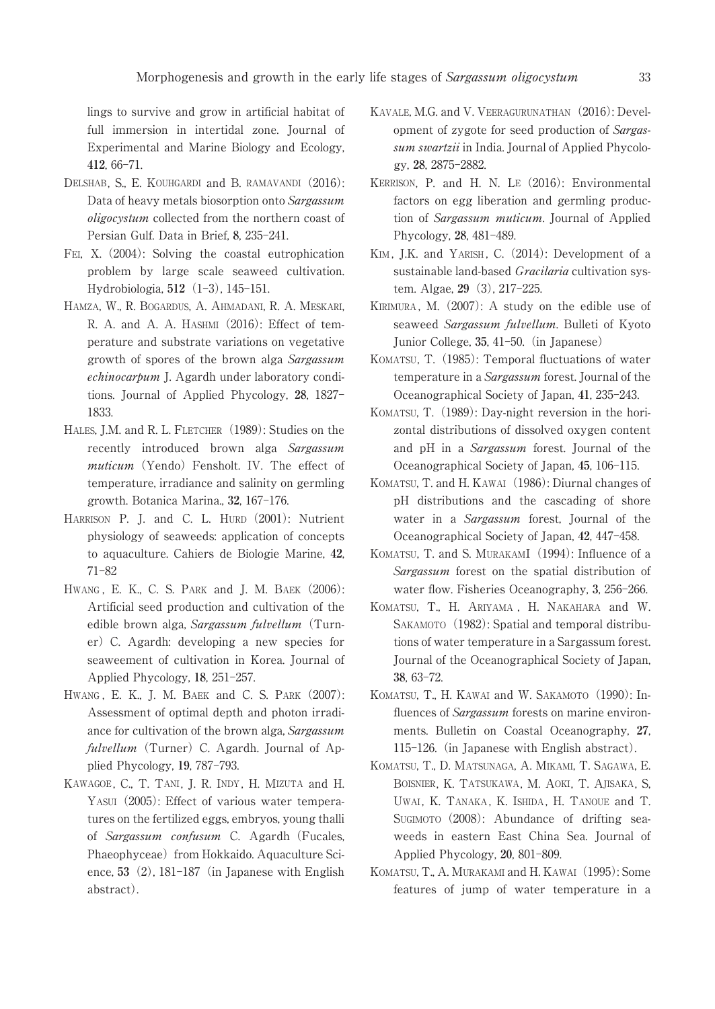lings to survive and grow in artificial habitat of full immersion in intertidal zone. Journal of Experimental and Marine Biology and Ecology, **412**, 66-71.

- DELSHAB, S., E. KOUHGARDI and B. RAMAVANDI (2016): Data of heavy metals biosorption onto Sargassum oligocystum collected from the northern coast of Persian Gulf. Data in Brief, 8, 235-241.
- FEI, X.(2004): Solving the coastal eutrophication problem by large scale seaweed cultivation. Hydrobiologia, 512 (1-3), 145-151.
- HAMZA, W., R. BOGARDUS, A. AHMADANI, R. A. MESKARI, R. A. and A. A. HASHMI (2016): Effect of temperature and substrate variations on vegetative growth of spores of the brown alga Sargassum echinocarpum J. Agardh under laboratory conditions. Journal of Applied Phycology, 28, 1827<sup>-1</sup> 1833.
- HALES, J.M. and R. L. FLETCHER (1989): Studies on the recently introduced brown alga Sargassum  $multcum$  (Yendo) Fensholt. IV. The effect of temperature, irradiance and salinity on germling growth. Botanica Marina., 32, 167-176.
- HARRISON P. J. and C. L. HURD (2001): Nutrient physiology of seaweeds: application of concepts to aquaculture. Cahiers de Biologie Marine, **42**, 71-82
- HWANG, E. K., C. S. PARK and J. M. BAEK (2006): Artificial seed production and cultivation of the edible brown alga, Sargassum fulvellum (Turner)C. Agardh: developing a new species for seaweement of cultivation in Korea. Journal of Applied Phycology, 18, 251<sup>-257</sup>.
- HWANG, E. K., J. M. BAEK and C. S. PARK (2007): Assessment of optimal depth and photon irradiance for cultivation of the brown alga, Sargassum  $fulvellum$  (Turner) C. Agardh. Journal of Applied Phycology, 19, 787-793.
- KAWAGOE, C., T. TANI, J. R. INDY , H. MIZUTA and H. YASUI (2005): Effect of various water temperatures on the fertilized eggs, embryos, young thalli of Sargassum confusum C. Agardh (Fucales, Phaeophyceae) from Hokkaido. Aquaculture Science,  $53(2)$ ,  $181-187$  (in Japanese with English abstract).
- KAVALE, M.G. and V. VEERAGURUNATHAN (2016): Development of zygote for seed production of Sargassum swartzii in India. Journal of Applied Phycology, 28, 2875-2882.
- KERRISON, P. and H. N. LE (2016): Environmental factors on egg liberation and germling production of Sargassum muticum. Journal of Applied Phycology, 28, 481-489.
- KIM, J.K. and YARISH, C. (2014): Development of a sustainable land-based *Gracilaria* cultivation system. Algae, 29 (3), 217-225.
- KIRIMURA, M. (2007): A study on the edible use of seaweed Sargassum fulvellum. Bulleti of Kyoto Junior College, 35, 41–50. (in Japanese)
- KOMATSU, T. (1985): Temporal fluctuations of water temperature in a Sargassum forest. Journal of the Oceanographical Society of Japan, 41, 235-243.
- KOMATSU, T. (1989): Day-night reversion in the horizontal distributions of dissolved oxygen content and pH in a Sargassum forest. Journal of the Oceanographical Society of Japan, 45, 106-115.
- KOMATSU, T. and H. KAWAI (1986): Diurnal changes of pH distributions and the cascading of shore water in a Sargassum forest, Journal of the Oceanographical Society of Japan, 42, 447-458.
- KOMATSU, T. and S. MURAKAMI (1994): Influence of a Sargassum forest on the spatial distribution of water flow. Fisheries Oceanography, 3, 256-266.
- KOMATSU, T., H. ARIYAMA , H. NAKAHARA and W. SAKAMOTO (1982): Spatial and temporal distributions of water temperature in a Sargassum forest. Journal of the Oceanographical Society of Japan, 38, 63-72.
- KOMATSU, T., H. KAWAI and W. SAKAMOTO (1990): Influences of *Sargassum* forests on marine environments. Bulletin on Coastal Oceanography, **27**, 115–126. (in Japanese with English abstract).
- KOMATSU, T., D. MATSUNAGA, A. MIKAMI, T. SAGAWA, E. BOISNIER, K. TATSUKAWA, M. AOKI, T. AJISAKA, S, UWAI, K. TANAKA, K. ISHIDA, H. TANOUE and T. SUGIMOTO (2008): Abundance of drifting seaweeds in eastern East China Sea. Journal of Applied Phycology, 20, 801-809.
- KOMATSU, T., A. MURAKAMI and H. KAWAI (1995): Some features of jump of water temperature in a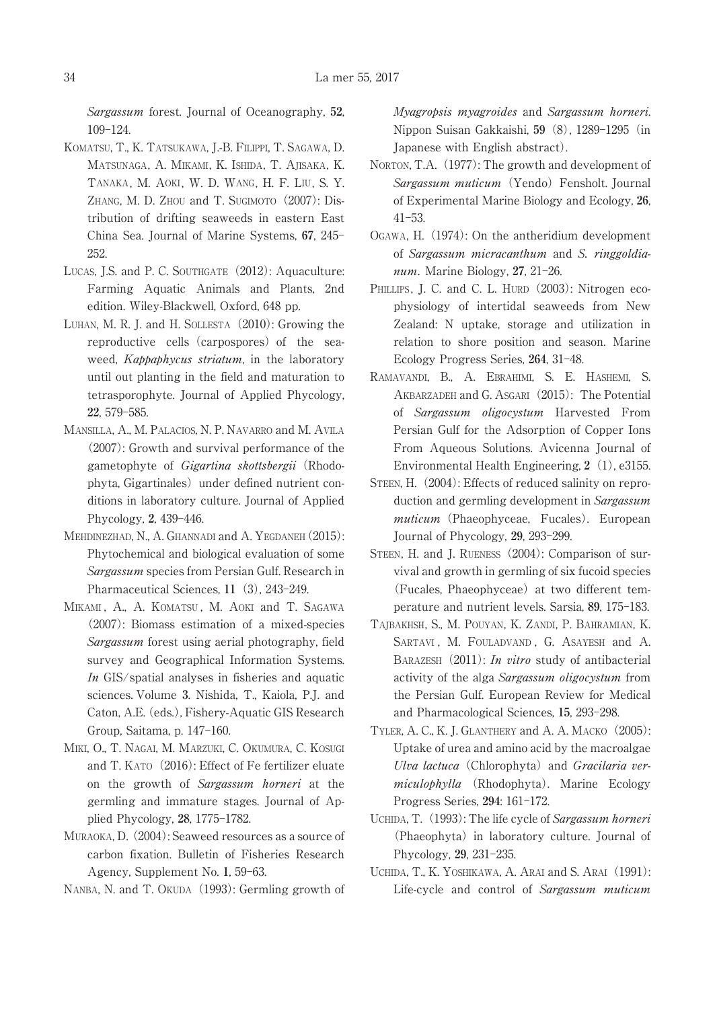Sargassum forest. Journal of Oceanography, **52**, 109-124.

- KOMATSU, T., K. TATSUKAWA, J.-B. FILIPPI, T. SAGAWA, D. MATSUNAGA, A. MIKAMI, K. ISHIDA, T. AJISAKA, K. TANAKA, M. AOKI, W. D. WANG, H. F. LIU, S. Y. ZHANG, M. D. ZHOU and T. SUGIMOTO (2007): Distribution of drifting seaweeds in eastern East China Sea. Journal of Marine Systems, 67, 245<sup>-</sup> 252.
- LUCAS, J.S. and P. C. SOUTHGATE (2012): Aquaculture: Farming Aquatic Animals and Plants, 2nd edition. Wiley-Blackwell, Oxford, 648 pp.
- LUHAN, M. R. J. and H. SOLLESTA (2010): Growing the reproductive cells (carpospores) of the seaweed, Kappaphycus striatum, in the laboratory until out planting in the field and maturation to tetrasporophyte. Journal of Applied Phycology, 22, 579-585.
- MANSILLA, A., M. PALACIOS, N. P. NAVARRO and M. AVILA (2007): Growth and survival performance of the gametophyte of Gigartina skottsbergii (Rhodophyta, Gigartinales) under defined nutrient conditions in laboratory culture. Journal of Applied Phycology, 2, 439-446.
- MEHDINEZHAD, N., A. GHANNADI and A. YEGDANEH (2015): Phytochemical and biological evaluation of some Sargassum species from Persian Gulf. Research in Pharmaceutical Sciences, 11<sup>(3)</sup>, 243-249.
- MIKAMI, A., A. KOMATSU, M. AOKI and T. SAGAWA (2007): Biomass estimation of a mixed-species Sargassum forest using aerial photography, field survey and Geographical Information Systems. In GIS/spatial analyses in fisheries and aquatic sciences.Volume **3**. Nishida, T., Kaiola, P.J. and Caton, A.E. (eds.), Fishery-Aquatic GIS Research Group, Saitama, p. 147-160.
- MIKI, O., T. NAGAI, M. MARZUKI, C. OKUMURA, C. KOSUGI and T. KATO (2016): Effect of Fe fertilizer eluate on the growth of Sargassum horneri at the germling and immature stages. Journal of Applied Phycology, 28, 1775-1782.
- MURAOKA, D. (2004): Seaweed resources as a source of carbon fixation. Bulletin of Fisheries Research Agency, Supplement No. 1, 59–63.
- NANBA, N. and T. OKUDA (1993): Germling growth of

Myagropsis myagroides and Sargassum horneri. Nippon Suisan Gakkaishi, 59 (8), 1289-1295 (in Japanese with English abstract).

- NORTON, T.A. (1977): The growth and development of Sargassum muticum (Yendo) Fensholt. Journal of Experimental Marine Biology and Ecology, **26**,  $41 - 53$ .
- OGAWA, H.(1974): On the antheridium development of Sargassum micracanthum and S. ringgoldianum. Marine Biology, 27, 21-26.
- PHILLIPS, J. C. and C. L. HURD (2003): Nitrogen ecophysiology of intertidal seaweeds from New Zealand: N uptake, storage and utilization in relation to shore position and season. Marine Ecology Progress Series, 264, 31-48.
- RAMAVANDI, B., A. EBRAHIMI, S. E. HASHEMI, S. AKBARZADEH and G. ASGARI (2015): The Potential of Sargassum oligocystum Harvested From Persian Gulf for the Adsorption of Copper Ions From Aqueous Solutions. Avicenna Journal of Environmental Health Engineering, **2**(1), e3155.
- STEEN, H. (2004): Effects of reduced salinity on reproduction and germling development in Sargassum muticum (Phaeophyceae, Fucales). European Journal of Phycology, 29, 293-299.
- STEEN, H. and J. RUENESS (2004): Comparison of survival and growth in germling of six fucoid species (Fucales, Phaeophyceae) at two different temperature and nutrient levels. Sarsia, 89, 175-183.
- TAJBAKHSH, S., M. POUYAN, K. ZANDI, P. BAHRAMIAN, K. SARTAVI, M. FOULADVAND, G. ASAYESH and A. BARAZESH  $(2011)$ : In vitro study of antibacterial activity of the alga Sargassum oligocystum from the Persian Gulf. European Review for Medical and Pharmacological Sciences, 15, 293-298.
- TYLER, A. C., K. J. GLANTHERY and A. A. MACKO (2005): Uptake of urea and amino acid by the macroalgae Ulva lactuca (Chlorophyta) and Gracilaria vermiculophylla (Rhodophyta). Marine Ecology Progress Series, 294: 161-172.
- UCHIDA, T. (1993): The life cycle of Sargassum horneri (Phaeophyta) in laboratory culture. Journal of Phycology, 29, 231-235.
- UCHIDA, T., K. YOSHIKAWA, A. ARAI and S. ARAI (1991): Life-cycle and control of Sargassum muticum